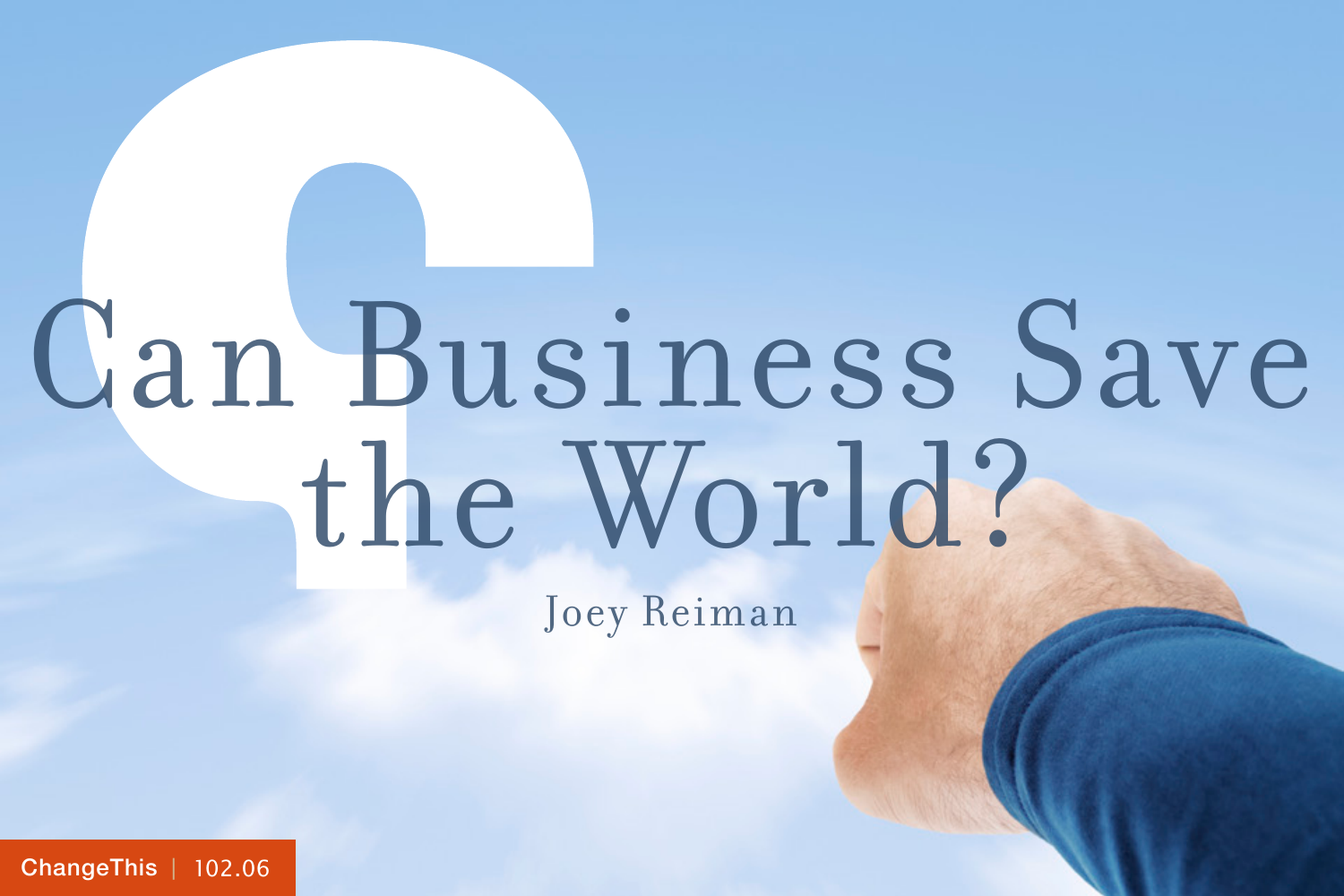# Can Business Save the World?

Joey Reiman

[ChangeThis](http://changethis.com) | 102.06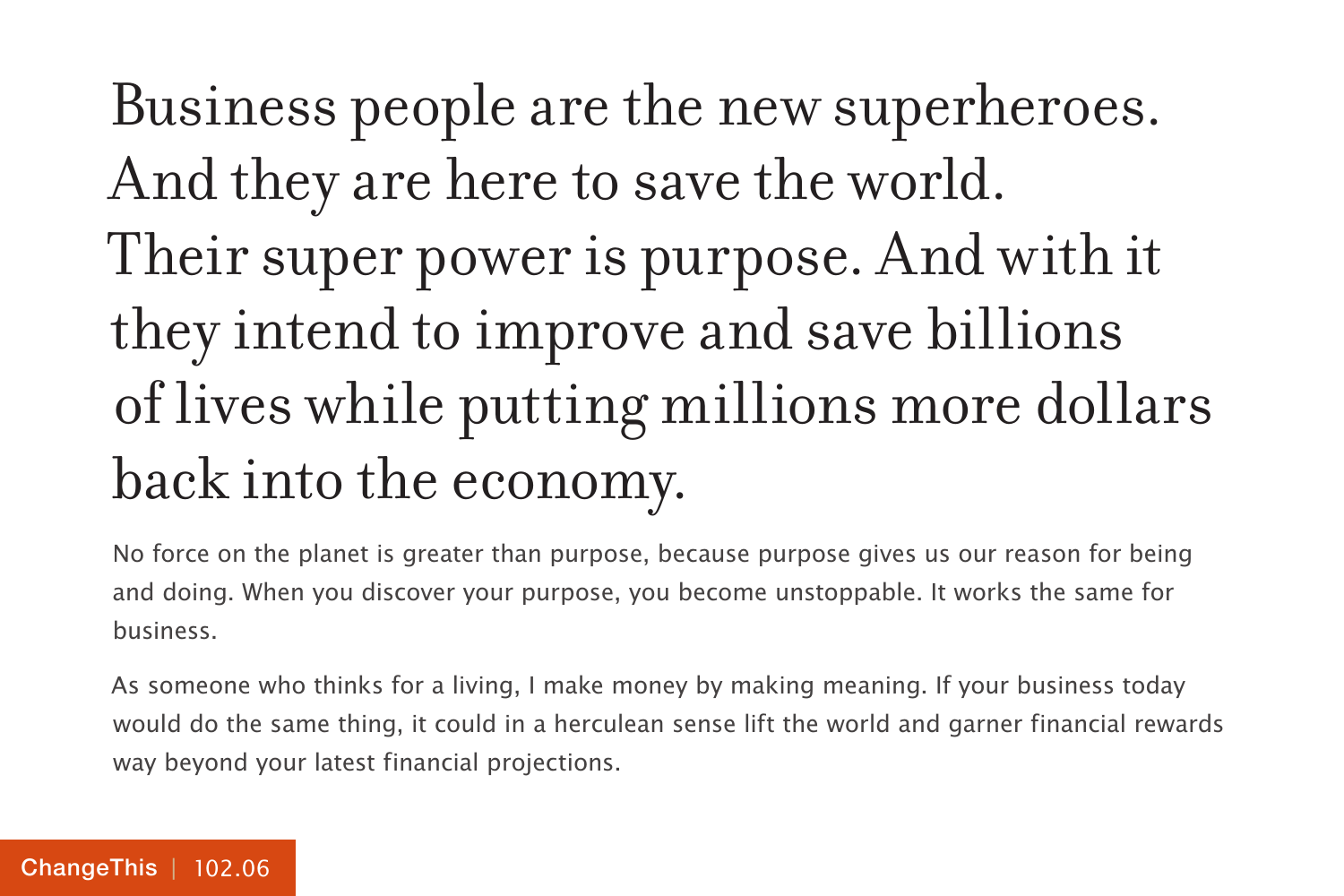# Business people are the new superheroes. And they are here to save the world. Their super power is purpose. And with it they intend to improve and save billions of lives while putting millions more dollars back into the economy.

No force on the planet is greater than purpose, because purpose gives us our reason for being and doing. When you discover your purpose, you become unstoppable. It works the same for business.

As someone who thinks for a living, I make money by making meaning. If your business today would do the same thing, it could in a herculean sense lift the world and garner financial rewards way beyond your latest financial projections.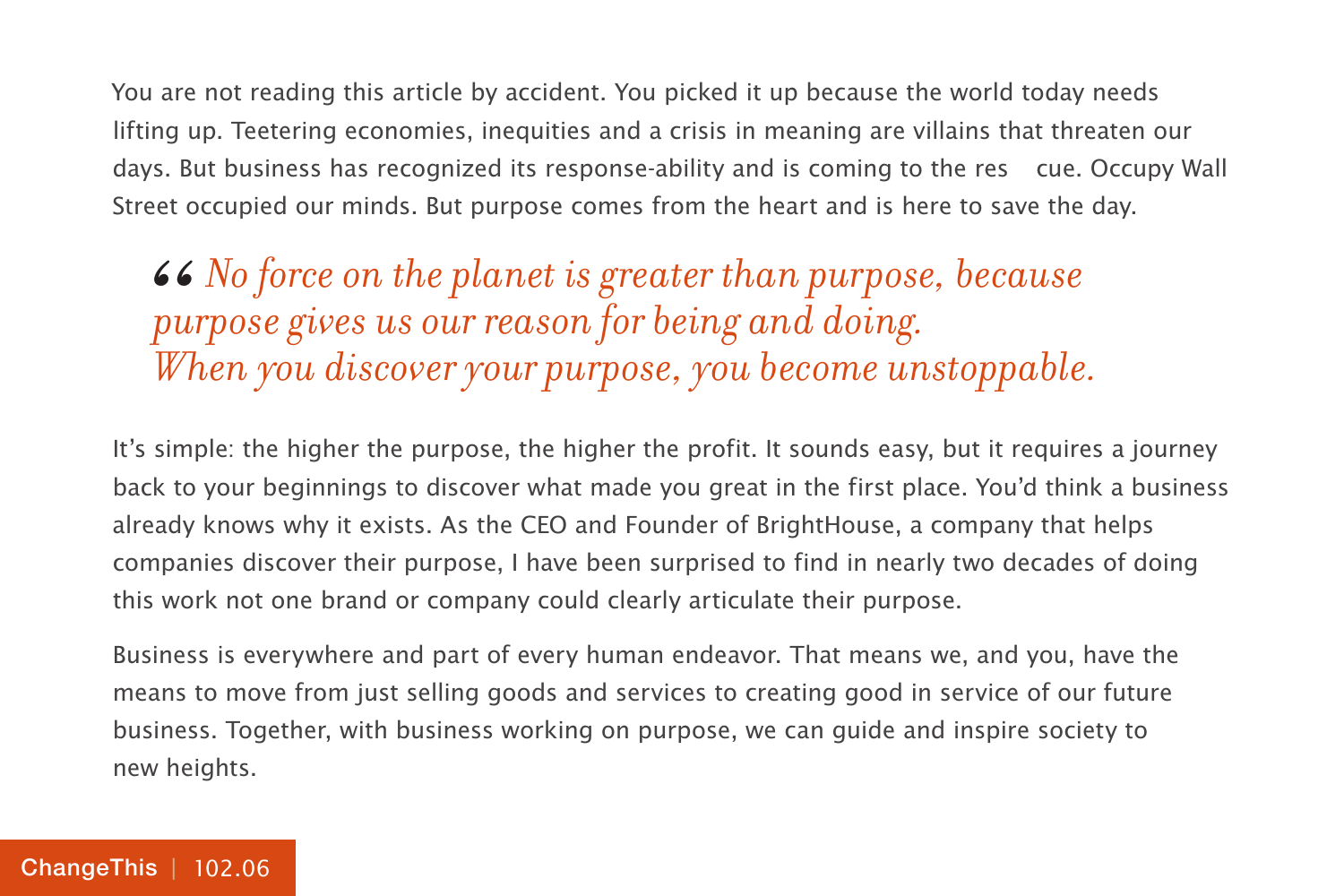You are not reading this article by accident. You picked it up because the world today needs lifting up. Teetering economies, inequities and a crisis in meaning are villains that threaten our days. But business has recognized its response-ability and is coming to the res cue. Occupy Wall Street occupied our minds. But purpose comes from the heart and is here to save the day.

*No force on the planet is greater than purpose, because purpose gives us our reason for being and doing. When you discover your purpose, you become unstoppable.* 66<br>pu<br>Wl

It's simple: the higher the purpose, the higher the profit. It sounds easy, but it requires a journey back to your beginnings to discover what made you great in the first place. You'd think a business already knows why it exists. As the CEO and Founder of BrightHouse, a company that helps companies discover their purpose, I have been surprised to find in nearly two decades of doing this work not one brand or company could clearly articulate their purpose.

Business is everywhere and part of every human endeavor. That means we, and you, have the means to move from just selling goods and services to creating good in service of our future business. Together, with business working on purpose, we can guide and inspire society to new heights.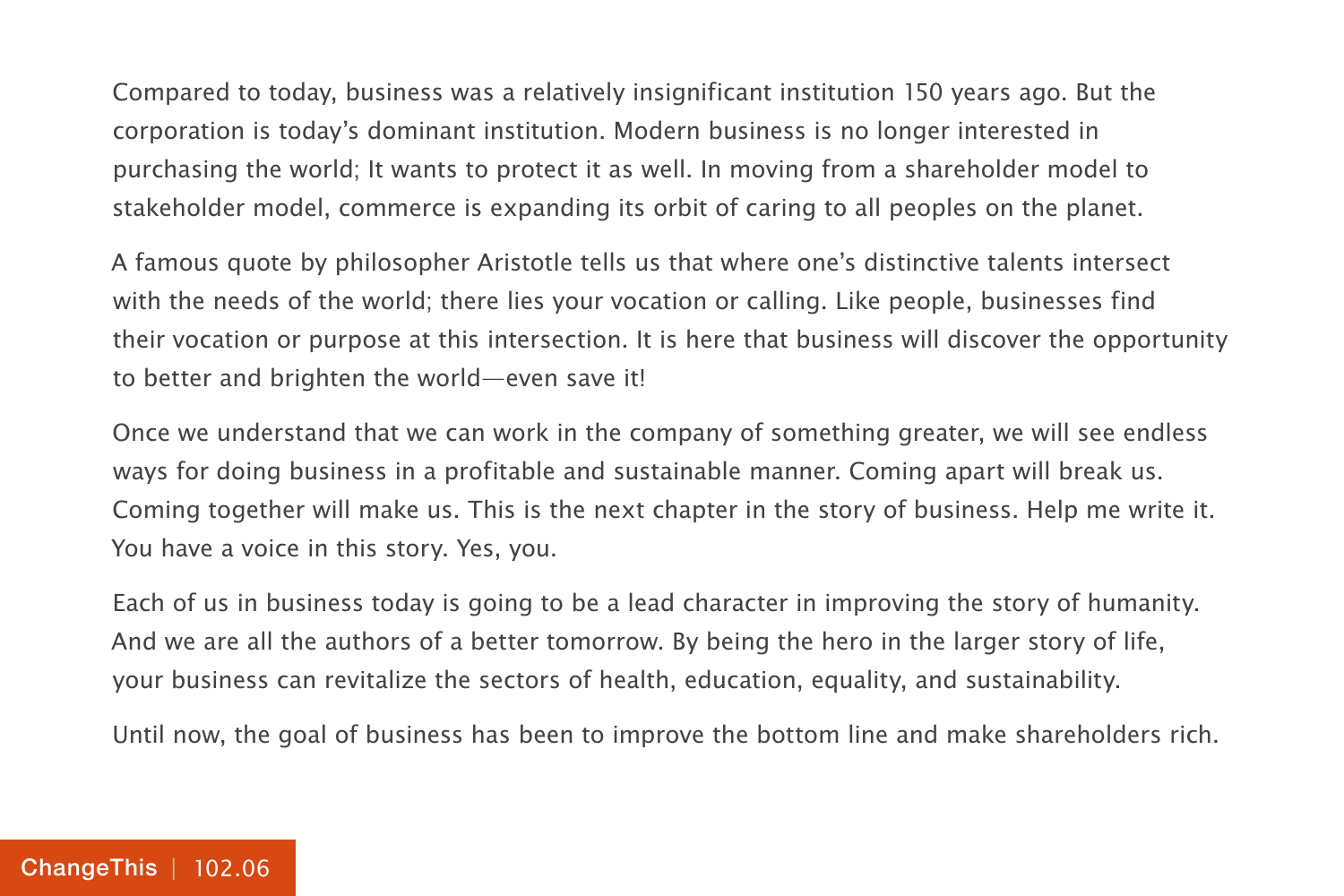Compared to today, business was a relatively insignificant institution 150 years ago. But the corporation is today's dominant institution. Modern business is no longer interested in purchasing the world; It wants to protect it as well. In moving from a shareholder model to stakeholder model, commerce is expanding its orbit of caring to all peoples on the planet.

A famous quote by philosopher Aristotle tells us that where one's distinctive talents intersect with the needs of the world; there lies your vocation or calling. Like people, businesses find their vocation or purpose at this intersection. It is here that business will discover the opportunity to better and brighten the world—even save it!

Once we understand that we can work in the company of something greater, we will see endless ways for doing business in a profitable and sustainable manner. Coming apart will break us. Coming together will make us. This is the next chapter in the story of business. Help me write it. You have a voice in this story. Yes, you.

Each of us in business today is going to be a lead character in improving the story of humanity. And we are all the authors of a better tomorrow. By being the hero in the larger story of life, your business can revitalize the sectors of health, education, equality, and sustainability.

Until now, the goal of business has been to improve the bottom line and make shareholders rich.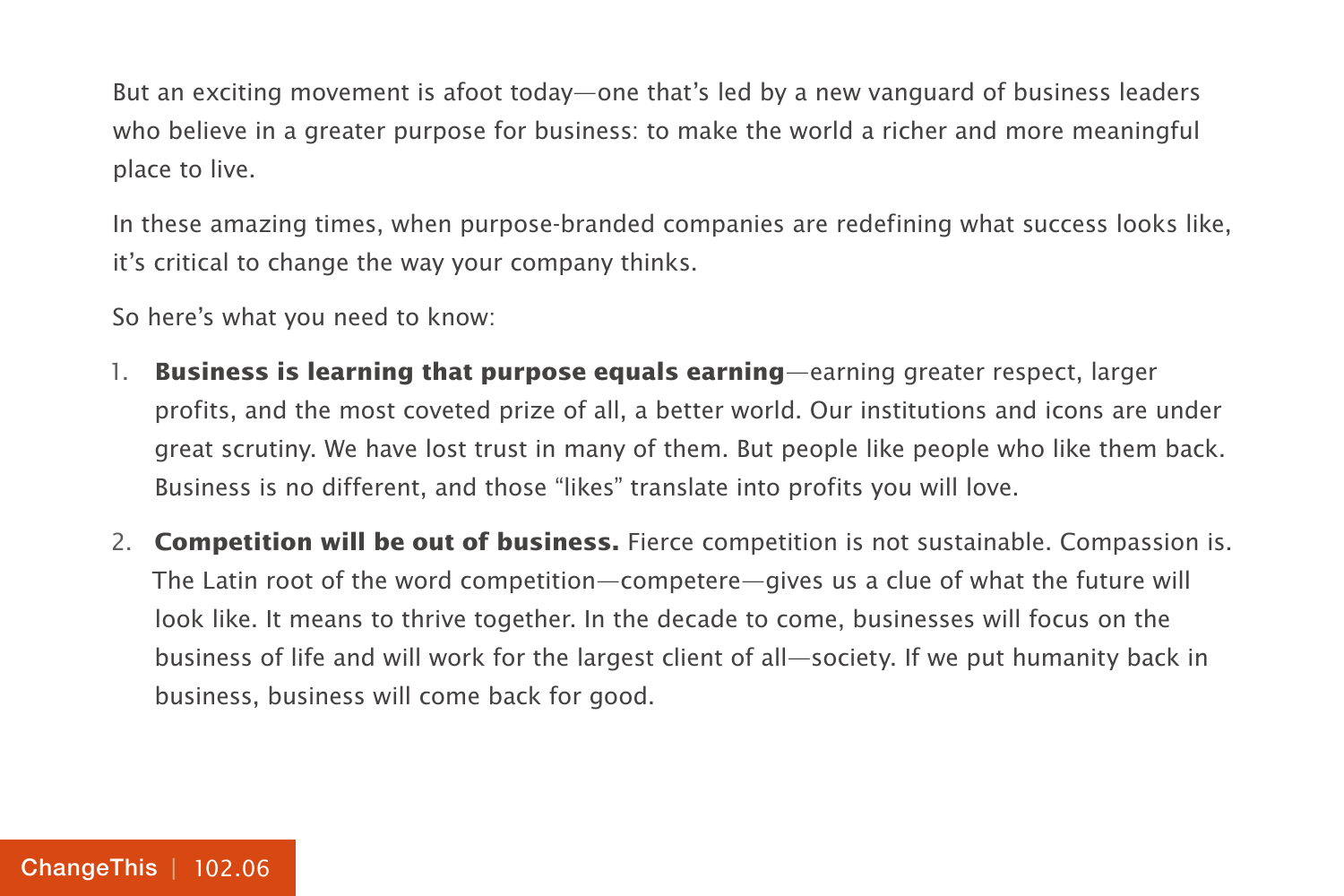But an exciting movement is afoot today—one that's led by a new vanguard of business leaders who believe in a greater purpose for business: to make the world a richer and more meaningful place to live.

In these amazing times, when purpose-branded companies are redefining what success looks like, it's critical to change the way your company thinks.

So here's what you need to know:

- 1. **Business is learning that purpose equals earning**—earning greater respect, larger profits, and the most coveted prize of all, a better world. Our institutions and icons are under great scrutiny. We have lost trust in many of them. But people like people who like them back. Business is no different, and those "likes" translate into profits you will love.
- 2. **Competition will be out of business.** Fierce competition is not sustainable. Compassion is. The Latin root of the word competition—competere—gives us a clue of what the future will look like. It means to thrive together. In the decade to come, businesses will focus on the business of life and will work for the largest client of all—society. If we put humanity back in business, business will come back for good.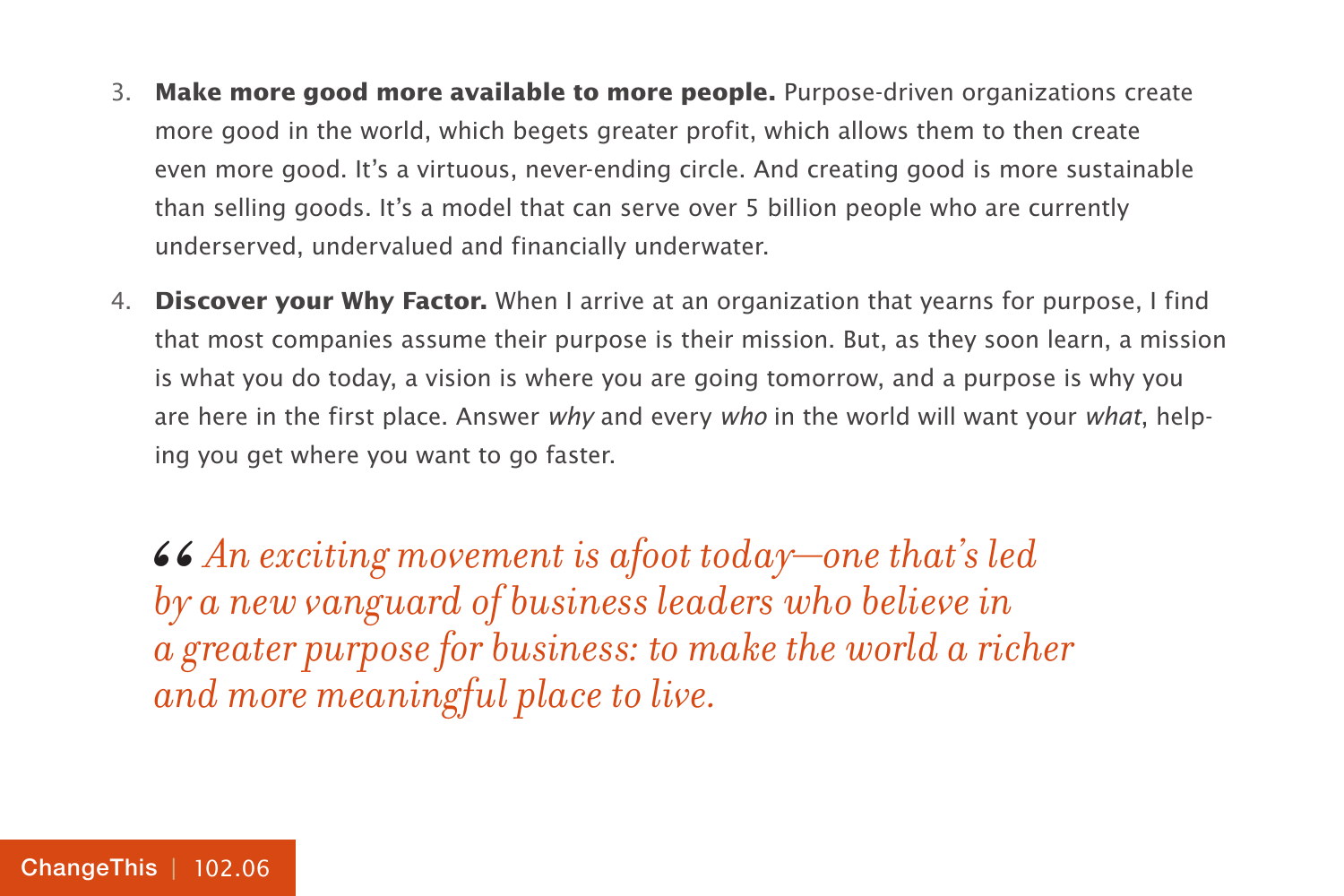- 3. **Make more good more available to more people.** Purpose-driven organizations create more good in the world, which begets greater profit, which allows them to then create even more good. It's a virtuous, never-ending circle. And creating good is more sustainable than selling goods. It's a model that can serve over 5 billion people who are currently underserved, undervalued and financially underwater.
- 4. **Discover your Why Factor.** When I arrive at an organization that yearns for purpose, I find that most companies assume their purpose is their mission. But, as they soon learn, a mission is what you do today, a vision is where you are going tomorrow, and a purpose is why you are here in the first place. Answer why and every who in the world will want your what, helping you get where you want to go faster.

*An exciting movement is afoot today—one that's led by a new vanguard of business leaders who believe in a greater purpose for business: to make the world a richer and more meaningful place to live.* 66<br>*by*<br>ag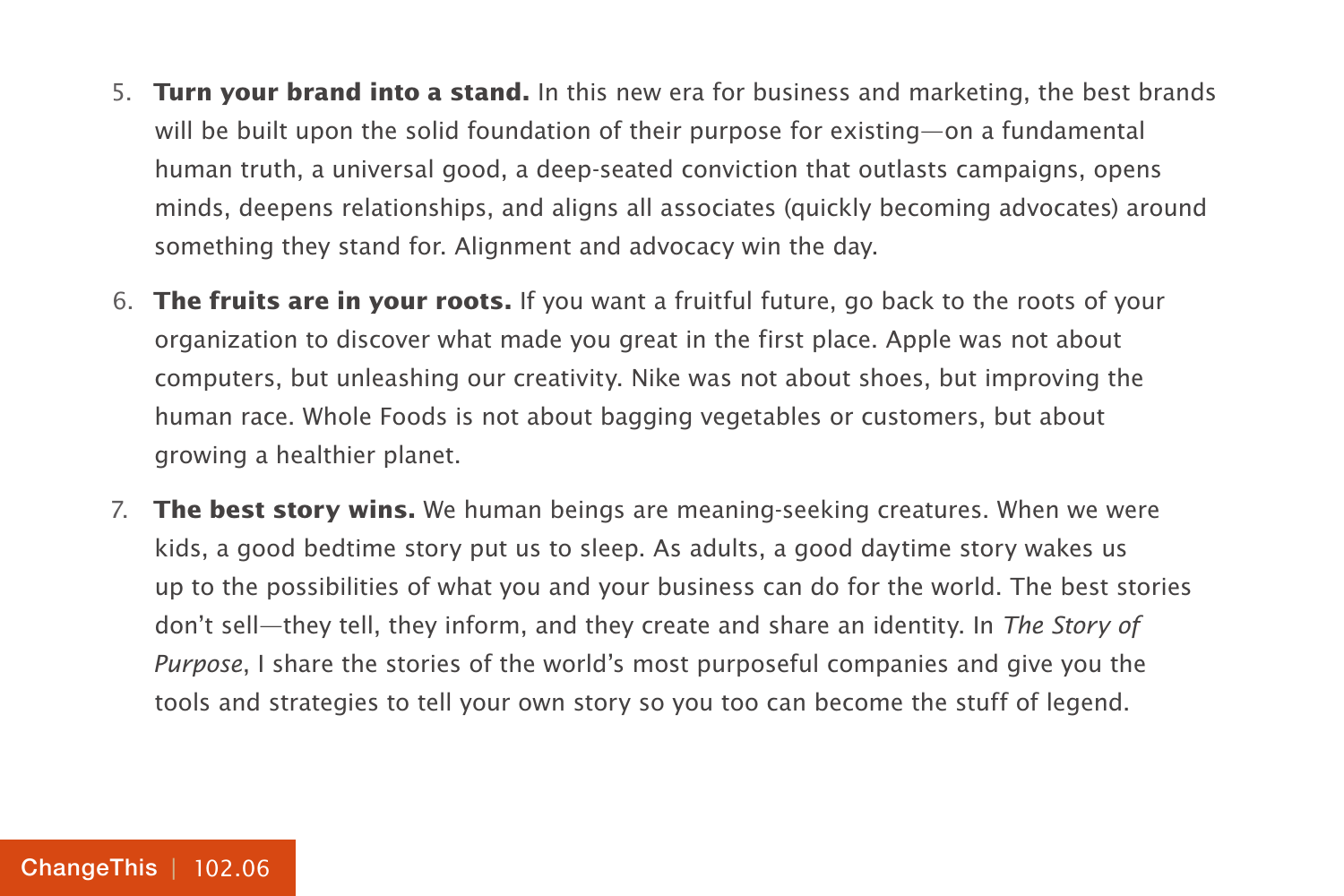- 5. **Turn your brand into a stand.** In this new era for business and marketing, the best brands will be built upon the solid foundation of their purpose for existing—on a fundamental human truth, a universal good, a deep-seated conviction that outlasts campaigns, opens minds, deepens relationships, and aligns all associates (quickly becoming advocates) around something they stand for. Alignment and advocacy win the day.
- 6. **The fruits are in your roots.** If you want a fruitful future, go back to the roots of your organization to discover what made you great in the first place. Apple was not about computers, but unleashing our creativity. Nike was not about shoes, but improving the human race. Whole Foods is not about bagging vegetables or customers, but about growing a healthier planet.
- 7. **The best story wins.** We human beings are meaning-seeking creatures. When we were kids, a good bedtime story put us to sleep. As adults, a good daytime story wakes us up to the possibilities of what you and your business can do for the world. The best stories don't sell—they tell, they inform, and they create and share an identity. In The Story of Purpose, I share the stories of the world's most purposeful companies and give you the tools and strategies to tell your own story so you too can become the stuff of legend.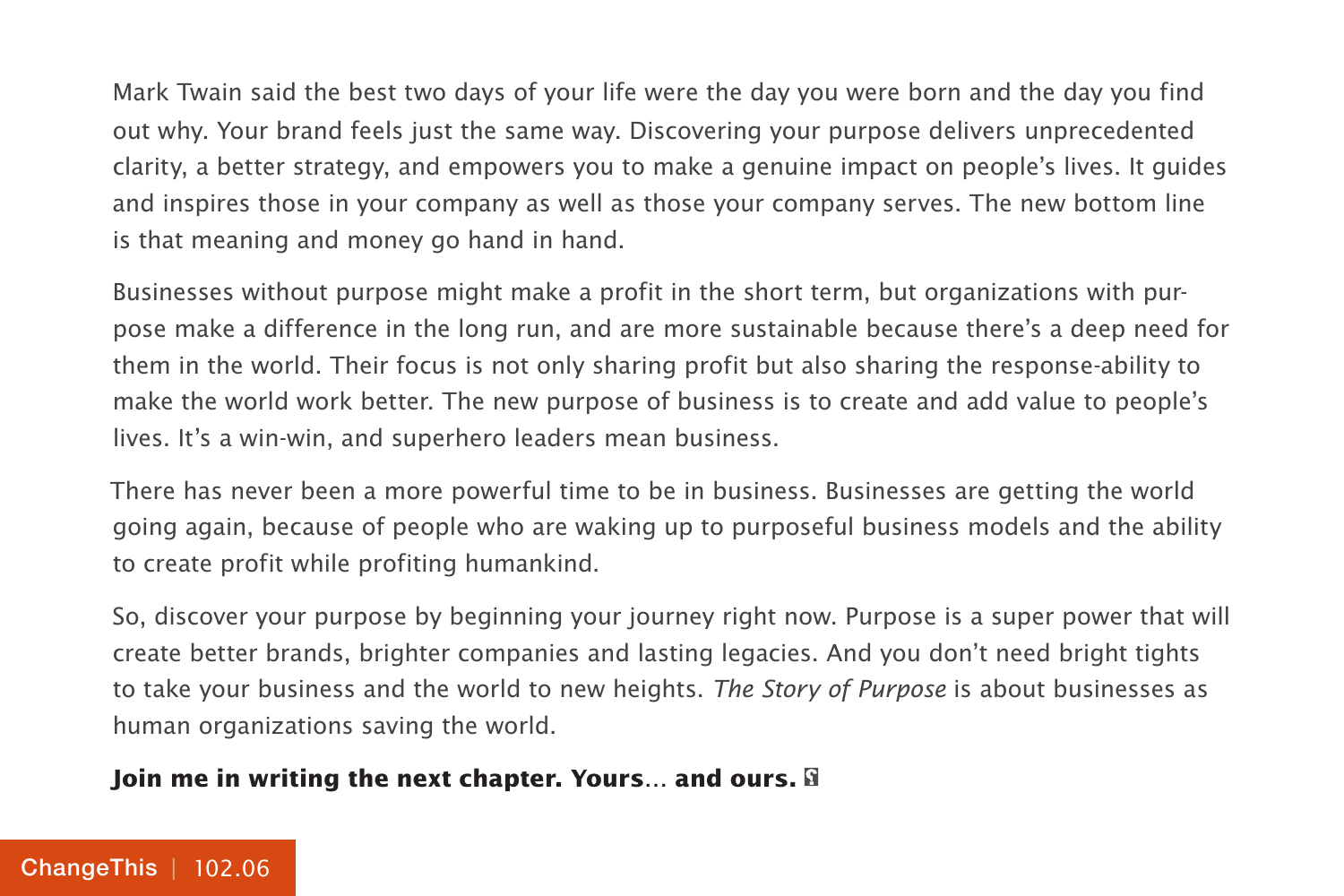Mark Twain said the best two days of your life were the day you were born and the day you find out why. Your brand feels just the same way. Discovering your purpose delivers unprecedented clarity, a better strategy, and empowers you to make a genuine impact on people's lives. It guides and inspires those in your company as well as those your company serves. The new bottom line is that meaning and money go hand in hand.

Businesses without purpose might make a profit in the short term, but organizations with purpose make a difference in the long run, and are more sustainable because there's a deep need for them in the world. Their focus is not only sharing profit but also sharing the response-ability to make the world work better. The new purpose of business is to create and add value to people's lives. It's a win-win, and superhero leaders mean business.

There has never been a more powerful time to be in business. Businesses are getting the world going again, because of people who are waking up to purposeful business models and the ability to create profit while profiting humankind.

So, discover your purpose by beginning your journey right now. Purpose is a super power that will create better brands, brighter companies and lasting legacies. And you don't need bright tights to take your business and the world to new heights. The Story of Purpose is about businesses as human organizations saving the world.

### **Join me in writing the next chapter. Yours… and ours.**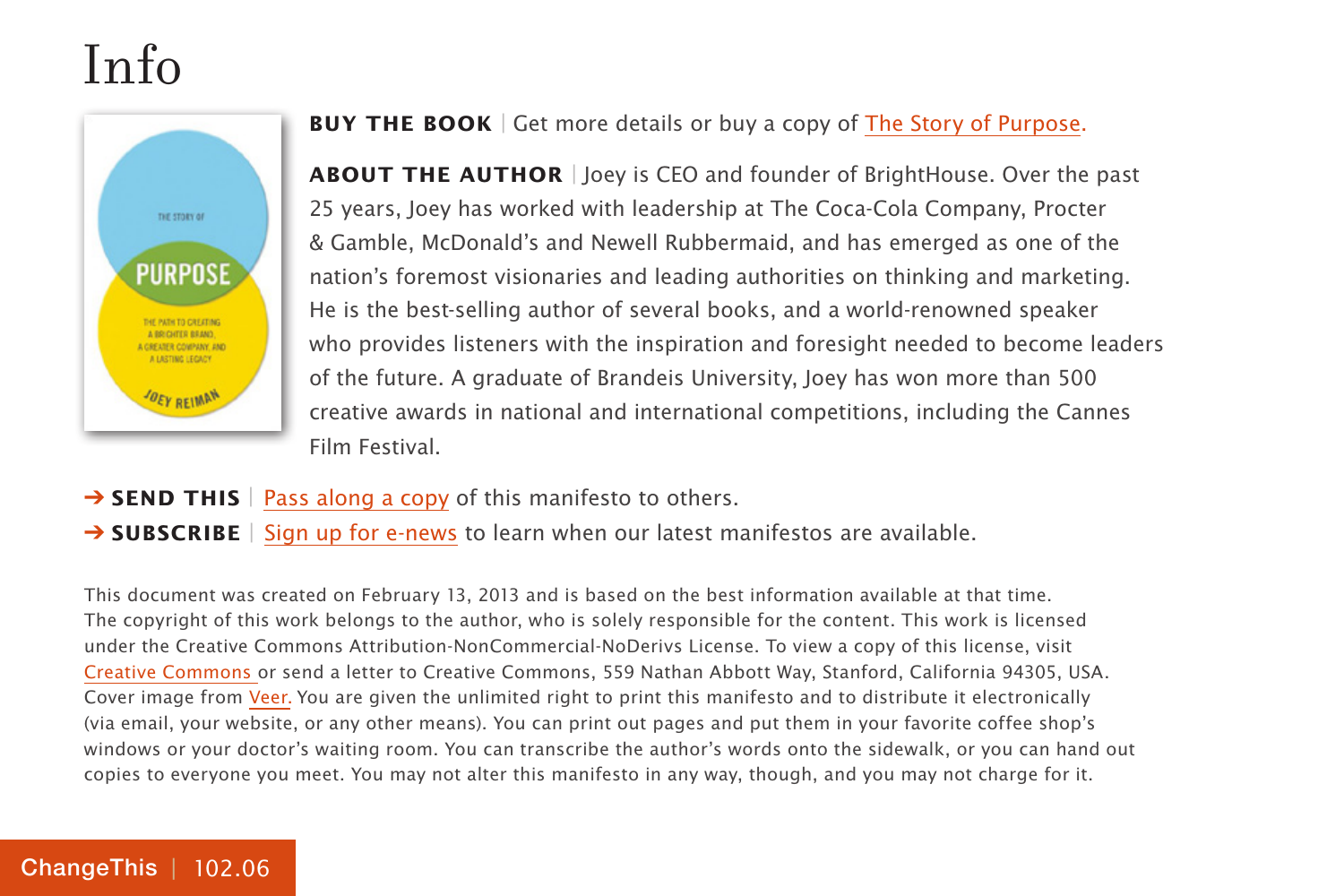## Info



#### **BUY THE BOOK** | Get more details or buy a copy of [The Story of Purpose.](http://800ceoread.com/book/show/9781118443699-Story_of_Purpose)

**About the Author** | Joey is CEO and founder of BrightHouse. Over the past 25 years, Joey has worked with leadership at The Coca-Cola Company, Procter & Gamble, McDonald's and Newell Rubbermaid, and has emerged as one of the nation's foremost visionaries and leading authorities on thinking and marketing. He is the best-selling author of several books, and a world-renowned speaker who provides listeners with the inspiration and foresight needed to become leaders of the future. A graduate of Brandeis University, Joey has won more than 500 creative awards in national and international competitions, including the Cannes Film Festival.

- **→ SEND THIS** | [Pass along a copy](http://www.changethis.com/102.06.StoryPurpose/email) of this manifesto to others.
- **→ SUBSCRIBE** | Sign up fo[r e-news](http://changethis.com/page/show/e_mail_newsletter) to learn when our latest manifestos are available.

This document was created on February 13, 2013 and is based on the best information available at that time. The copyright of this work belongs to the author, who is solely responsible for the content. This work is licensed under the Creative Commons Attribution-NonCommercial-NoDerivs License. To view a copy of this license, visit [Creative Commons](http://creativecommons.org/licenses/by-nc-nd/2.0/) or send a letter to Creative Commons, 559 Nathan Abbott Way, Stanford, California 94305, USA. Cover image from [Veer.](http://www.veer.com/) You are given the unlimited right to print this manifesto and to distribute it electronically (via email, your website, or any other means). You can print out pages and put them in your favorite coffee shop's windows or your doctor's waiting room. You can transcribe the author's words onto the sidewalk, or you can hand out copies to everyone you meet. You may not alter this manifesto in any way, though, and you may not charge for it.